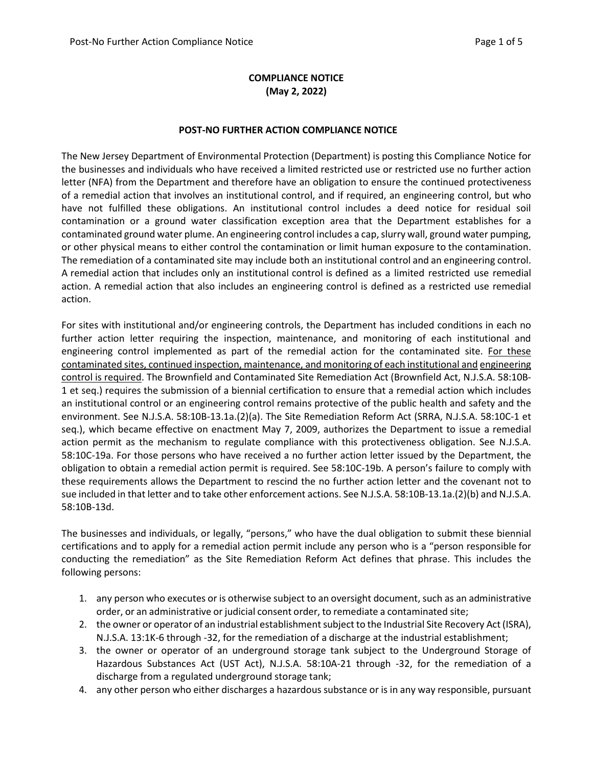# **COMPLIANCE NOTICE (May 2, 2022)**

### **POST-NO FURTHER ACTION COMPLIANCE NOTICE**

The New Jersey Department of Environmental Protection (Department) is posting this Compliance Notice for the businesses and individuals who have received a limited restricted use or restricted use no further action letter (NFA) from the Department and therefore have an obligation to ensure the continued protectiveness of a remedial action that involves an institutional control, and if required, an engineering control, but who have not fulfilled these obligations. An institutional control includes a deed notice for residual soil contamination or a ground water classification exception area that the Department establishes for a contaminated ground water plume. An engineering control includes a cap, slurry wall, ground water pumping, or other physical means to either control the contamination or limit human exposure to the contamination. The remediation of a contaminated site may include both an institutional control and an engineering control. A remedial action that includes only an institutional control is defined as a limited restricted use remedial action. A remedial action that also includes an engineering control is defined as a restricted use remedial action.

For sites with institutional and/or engineering controls, the Department has included conditions in each no further action letter requiring the inspection, maintenance, and monitoring of each institutional and engineering control implemented as part of the remedial action for the contaminated site. For these contaminated sites, continued inspection, maintenance, and monitoring of each institutional and engineering control is required. The Brownfield and Contaminated Site Remediation Act (Brownfield Act, N.J.S.A. 58:10B-1 et seq.) requires the submission of a biennial certification to ensure that a remedial action which includes an institutional control or an engineering control remains protective of the public health and safety and the environment. See N.J.S.A. 58:10B-13.1a.(2)(a). The Site Remediation Reform Act (SRRA, N.J.S.A. 58:10C-1 et seq.), which became effective on enactment May 7, 2009, authorizes the Department to issue a remedial action permit as the mechanism to regulate compliance with this protectiveness obligation. See N.J.S.A. 58:10C-19a. For those persons who have received a no further action letter issued by the Department, the obligation to obtain a remedial action permit is required. See 58:10C-19b. A person's failure to comply with these requirements allows the Department to rescind the no further action letter and the covenant not to sue included in that letter and to take other enforcement actions. See N.J.S.A. 58:10B-13.1a.(2)(b) and N.J.S.A. 58:10B-13d.

The businesses and individuals, or legally, "persons," who have the dual obligation to submit these biennial certifications and to apply for a remedial action permit include any person who is a "person responsible for conducting the remediation" as the Site Remediation Reform Act defines that phrase. This includes the following persons:

- 1. any person who executes or is otherwise subject to an oversight document, such as an administrative order, or an administrative or judicial consent order, to remediate a contaminated site;
- 2. the owner or operator of an industrial establishment subject to the Industrial Site Recovery Act (ISRA), N.J.S.A. 13:1K-6 through -32, for the remediation of a discharge at the industrial establishment;
- 3. the owner or operator of an underground storage tank subject to the Underground Storage of Hazardous Substances Act (UST Act), N.J.S.A. 58:10A-21 through -32, for the remediation of a discharge from a regulated underground storage tank;
- 4. any other person who either discharges a hazardous substance or is in any way responsible, pursuant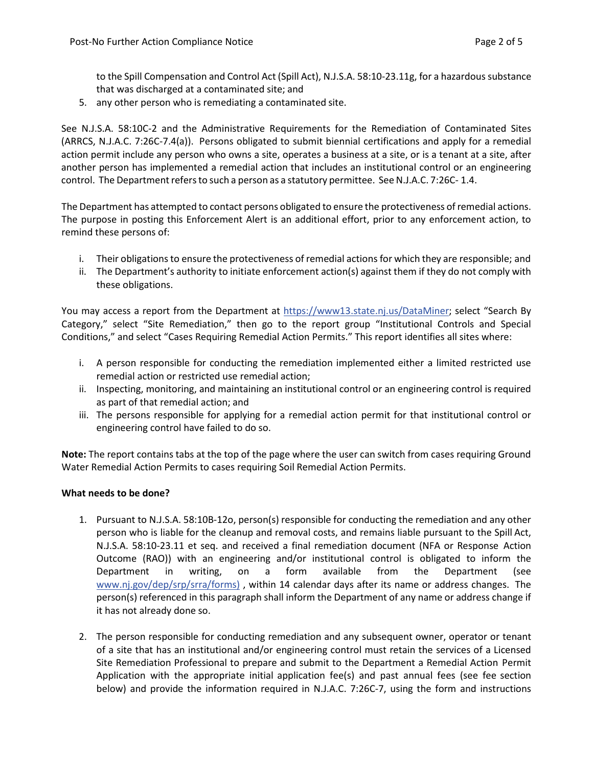to the Spill Compensation and Control Act (Spill Act), N.J.S.A. 58:10-23.11g, for a hazardous substance that was discharged at a contaminated site; and

5. any other person who is remediating a contaminated site.

See N.J.S.A. 58:10C-2 and the Administrative Requirements for the Remediation of Contaminated Sites (ARRCS, N.J.A.C. 7:26C-7.4(a)). Persons obligated to submit biennial certifications and apply for a remedial action permit include any person who owns a site, operates a business at a site, or is a tenant at a site, after another person has implemented a remedial action that includes an institutional control or an engineering control. The Department refers to such a person as a statutory permittee. See N.J.A.C. 7:26C-1.4.

The Department has attempted to contact persons obligated to ensure the protectiveness of remedial actions. The purpose in posting this Enforcement Alert is an additional effort, prior to any enforcement action, to remind these persons of:

- i. Their obligations to ensure the protectiveness of remedial actions for which they are responsible; and
- ii. The Department's authority to initiate enforcement action(s) against them if they do not comply with these obligations.

You may access a report from the Department at [https://www13.state.nj.us/DataMiner; s](https://www13.state.nj.us/DataMiner)elect "Search By Category," select "Site Remediation," then go to the report group "Institutional Controls and Special Conditions," and select "Cases Requiring Remedial Action Permits." This report identifies all sites where:

- i. A person responsible for conducting the remediation implemented either a limited restricted use remedial action or restricted use remedial action;
- ii. Inspecting, monitoring, and maintaining an institutional control or an engineering control is required as part of that remedial action; and
- iii. The persons responsible for applying for a remedial action permit for that institutional control or engineering control have failed to do so.

**Note:** The report contains tabs at the top of the page where the user can switch from cases requiring Ground Water Remedial Action Permits to cases requiring Soil Remedial Action Permits.

### **What needs to be done?**

- 1. Pursuant to N.J.S.A. 58:10B-12o, person(s) responsible for conducting the remediation and any other person who is liable for the cleanup and removal costs, and remains liable pursuant to the Spill Act, N.J.S.A. 58:10-23.11 et seq. and received a final remediation document (NFA or Response Action Outcome (RAO)) with an engineering and/or institutional control is obligated to inform the Department in writing, on a form available from the Department (see [www.nj.gov/dep/srp/srra/forms\)](http://www.nj.gov/dep/srp/srra/forms/) , within 14 calendar days after its name or address changes. The person(s) referenced in this paragraph shall inform the Department of any name or address change if it has not already done so.
- 2. The person responsible for conducting remediation and any subsequent owner, operator or tenant of a site that has an institutional and/or engineering control must retain the services of a Licensed Site Remediation Professional to prepare and submit to the Department a Remedial Action Permit Application with the appropriate initial application fee(s) and past annual fees (see fee section below) and provide the information required in N.J.A.C. 7:26C-7, using the form and instructions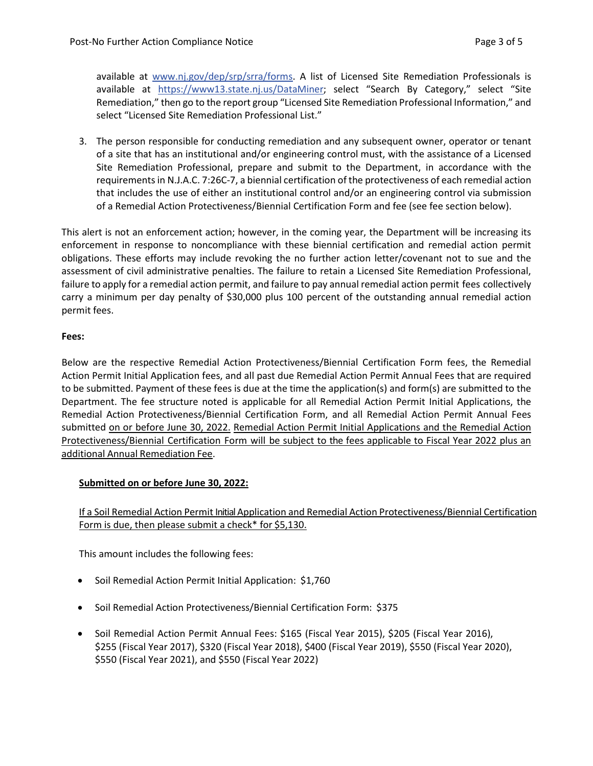available at [www.nj.gov/dep/srp/srra/forms.](http://www.nj.gov/dep/srp/srra/forms/) A list of Licensed Site Remediation Professionals is available at [https://www13.state.nj.us/DataMiner; s](https://www13.state.nj.us/DataMiner)elect "Search By Category," select "Site Remediation," then go to the report group "Licensed Site Remediation Professional Information," and select "Licensed Site Remediation Professional List."

3. The person responsible for conducting remediation and any subsequent owner, operator or tenant of a site that has an institutional and/or engineering control must, with the assistance of a Licensed Site Remediation Professional, prepare and submit to the Department, in accordance with the requirements in N.J.A.C. 7:26C-7, a biennial certification of the protectiveness of each remedial action that includes the use of either an institutional control and/or an engineering control via submission of a Remedial Action Protectiveness/Biennial Certification Form and fee (see fee section below).

This alert is not an enforcement action; however, in the coming year, the Department will be increasing its enforcement in response to noncompliance with these biennial certification and remedial action permit obligations. These efforts may include revoking the no further action letter/covenant not to sue and the assessment of civil administrative penalties. The failure to retain a Licensed Site Remediation Professional, failure to apply for a remedial action permit, and failure to pay annual remedial action permit fees collectively carry a minimum per day penalty of \$30,000 plus 100 percent of the outstanding annual remedial action permit fees.

## **Fees:**

Below are the respective Remedial Action Protectiveness/Biennial Certification Form fees, the Remedial Action Permit Initial Application fees, and all past due Remedial Action Permit Annual Fees that are required to be submitted. Payment of these fees is due at the time the application(s) and form(s) are submitted to the Department. The fee structure noted is applicable for all Remedial Action Permit Initial Applications, the Remedial Action Protectiveness/Biennial Certification Form, and all Remedial Action Permit Annual Fees submitted on or before June 30, 2022. Remedial Action Permit Initial Applications and the Remedial Action Protectiveness/Biennial Certification Form will be subject to the fees applicable to Fiscal Year 2022 plus an additional Annual Remediation Fee.

### **Submitted on or before June 30, 2022:**

# If a Soil Remedial Action Permit Initial Application and Remedial Action Protectiveness/Biennial Certification Form is due, then please submit a check\* for \$5,130.

This amount includes the following fees:

- Soil Remedial Action Permit Initial Application: \$1,760
- Soil Remedial Action Protectiveness/Biennial Certification Form: \$375
- Soil Remedial Action Permit Annual Fees: \$165 (Fiscal Year 2015), \$205 (Fiscal Year 2016), \$255 (Fiscal Year 2017), \$320 (Fiscal Year 2018), \$400 (Fiscal Year 2019), \$550 (Fiscal Year 2020), \$550 (Fiscal Year 2021), and \$550 (Fiscal Year 2022)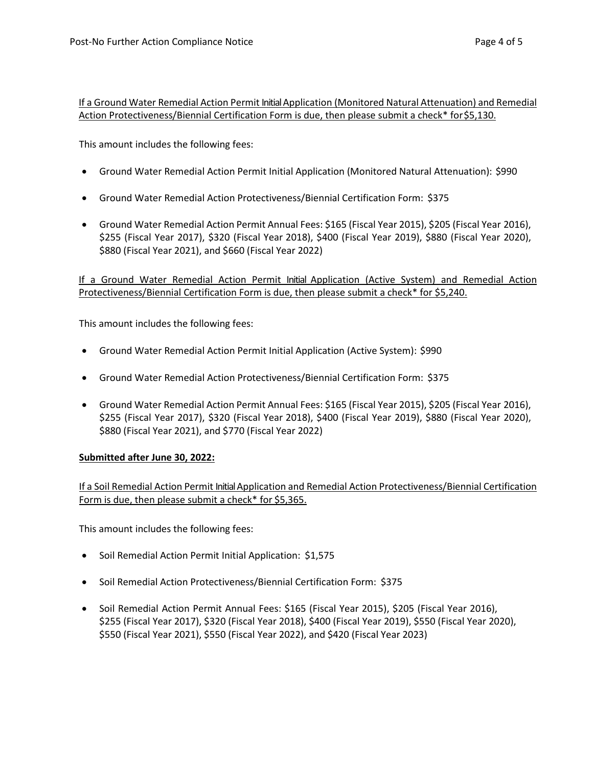If a Ground Water Remedial Action Permit Initial Application (Monitored Natural Attenuation) and Remedial Action Protectiveness/Biennial Certification Form is due, then please submit a check\* for\$5,130.

This amount includes the following fees:

- Ground Water Remedial Action Permit Initial Application (Monitored Natural Attenuation): \$990
- Ground Water Remedial Action Protectiveness/Biennial Certification Form: \$375
- Ground Water Remedial Action Permit Annual Fees: \$165 (Fiscal Year 2015), \$205 (Fiscal Year 2016), \$255 (Fiscal Year 2017), \$320 (Fiscal Year 2018), \$400 (Fiscal Year 2019), \$880 (Fiscal Year 2020), \$880 (Fiscal Year 2021), and \$660 (Fiscal Year 2022)

If a Ground Water Remedial Action Permit Initial Application (Active System) and Remedial Action Protectiveness/Biennial Certification Form is due, then please submit a check\* for \$5,240.

This amount includes the following fees:

- Ground Water Remedial Action Permit Initial Application (Active System): \$990
- Ground Water Remedial Action Protectiveness/Biennial Certification Form: \$375
- Ground Water Remedial Action Permit Annual Fees: \$165 (Fiscal Year 2015), \$205 (Fiscal Year 2016), \$255 (Fiscal Year 2017), \$320 (Fiscal Year 2018), \$400 (Fiscal Year 2019), \$880 (Fiscal Year 2020), \$880 (Fiscal Year 2021), and \$770 (Fiscal Year 2022)

# **Submitted after June 30, 2022:**

If a Soil Remedial Action Permit Initial Application and Remedial Action Protectiveness/Biennial Certification Form is due, then please submit a check\* for \$5,365.

This amount includes the following fees:

- Soil Remedial Action Permit Initial Application: \$1,575
- Soil Remedial Action Protectiveness/Biennial Certification Form: \$375
- Soil Remedial Action Permit Annual Fees: \$165 (Fiscal Year 2015), \$205 (Fiscal Year 2016), \$255 (Fiscal Year 2017), \$320 (Fiscal Year 2018), \$400 (Fiscal Year 2019), \$550 (Fiscal Year 2020), \$550 (Fiscal Year 2021), \$550 (Fiscal Year 2022), and \$420 (Fiscal Year 2023)